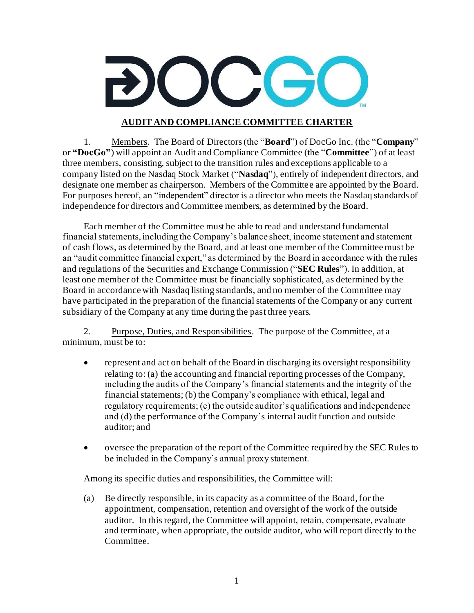## **AUDIT AND COMPLIANCE COMMITTEE CHARTER**

1. Members. The Board of Directors(the "**Board**") of DocGo Inc. (the "**Company**" or **"DocGo"**) will appoint an Audit and Compliance Committee (the "**Committee**") of at least three members, consisting, subject to the transition rules and exceptions applicable to a company listed on the Nasdaq Stock Market ("**Nasdaq**"), entirely of independent directors, and designate one member as chairperson. Members of the Committee are appointed by the Board. For purposes hereof, an "independent" director is a director who meets the Nasdaq standards of independence for directors and Committee members, as determined by the Board.

Each member of the Committee must be able to read and understand fundamental financial statements, including the Company's balance sheet, income statement and statement of cash flows, as determined by the Board, and at least one member of the Committee must be an "audit committee financial expert," as determined by the Board in accordance with the rules and regulations of the Securities and Exchange Commission ("**SEC Rules**"). In addition, at least one member of the Committee must be financially sophisticated, as determined by the Board in accordance with Nasdaq listing standards, and no member of the Committee may have participated in the preparation of the financial statements of the Company or any current subsidiary of the Company at any time during the past three years.

2. Purpose, Duties, and Responsibilities. The purpose of the Committee, at a minimum, must be to:

- represent and act on behalf of the Board in discharging its oversight responsibility relating to: (a) the accounting and financial reporting processes of the Company, including the audits of the Company's financial statements and the integrity of the financial statements; (b) the Company's compliance with ethical, legal and regulatory requirements; (c) the outside auditor's qualifications and independence and (d) the performance of the Company's internal audit function and outside auditor; and
- oversee the preparation of the report of the Committee required by the SEC Rules to be included in the Company's annual proxy statement.

Among its specific duties and responsibilities, the Committee will:

(a) Be directly responsible, in its capacity as a committee of the Board, for the appointment, compensation, retention and oversight of the work of the outside auditor. In this regard, the Committee will appoint, retain, compensate, evaluate and terminate, when appropriate, the outside auditor, who will report directly to the Committee.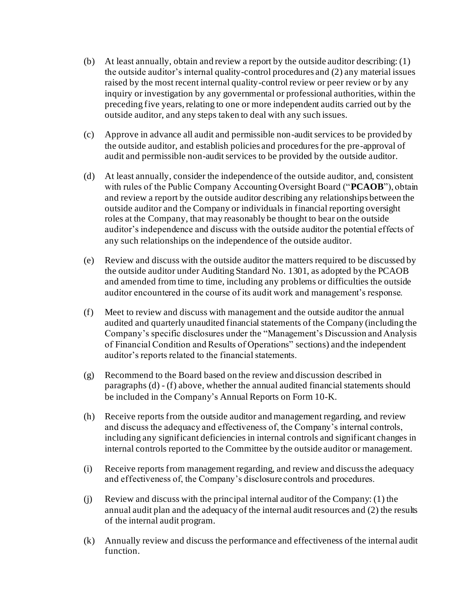- (b) At least annually, obtain and review a report by the outside auditor describing: (1) the outside auditor's internal quality-control procedures and (2) any material issues raised by the most recent internal quality-control review or peer review or by any inquiry or investigation by any governmental or professional authorities, within the preceding five years, relating to one or more independent audits carried out by the outside auditor, and any steps taken to deal with any such issues.
- (c) Approve in advance all audit and permissible non-audit services to be provided by the outside auditor, and establish policies and procedures for the pre-approval of audit and permissible non-audit services to be provided by the outside auditor.
- (d) At least annually, consider the independence of the outside auditor, and, consistent with rules of the Public Company Accounting Oversight Board ("**PCAOB**"), obtain and review a report by the outside auditor describing any relationships between the outside auditor and the Company or individuals in financial reporting oversight roles at the Company, that may reasonably be thought to bear on the outside auditor's independence and discuss with the outside auditor the potential effects of any such relationships on the independence of the outside auditor.
- (e) Review and discuss with the outside auditor the matters required to be discussed by the outside auditor under Auditing Standard No. 1301, as adopted by the PCAOB and amended from time to time, including any problems or difficulties the outside auditor encountered in the course of its audit work and management's response.
- (f) Meet to review and discuss with management and the outside auditor the annual audited and quarterly unaudited financial statements of the Company (including the Company's specific disclosures under the "Management's Discussion and Analysis of Financial Condition and Results of Operations" sections) and the independent auditor's reports related to the financial statements.
- (g) Recommend to the Board based on the review and discussion described in paragraphs (d) - (f) above, whether the annual audited financial statements should be included in the Company's Annual Reports on Form 10-K.
- (h) Receive reports from the outside auditor and management regarding, and review and discuss the adequacy and effectiveness of, the Company's internal controls, including any significant deficiencies in internal controls and significant changes in internal controls reported to the Committee by the outside auditor or management.
- (i) Receive reports from management regarding, and review and discuss the adequacy and effectiveness of, the Company's disclosure controls and procedures.
- (j) Review and discuss with the principal internal auditor of the Company: (1) the annual audit plan and the adequacy of the internal audit resources and (2) the results of the internal audit program.
- (k) Annually review and discuss the performance and effectiveness of the internal audit function.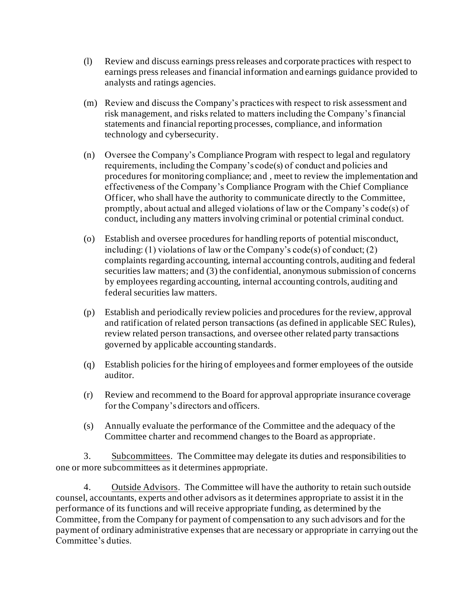- (l) Review and discuss earnings press releases and corporate practices with respect to earnings press releases and financial information and earnings guidance provided to analysts and ratings agencies.
- (m) Review and discuss the Company's practices with respect to risk assessment and risk management, and risks related to matters including the Company's financial statements and financial reporting processes, compliance, and information technology and cybersecurity.
- (n) Oversee the Company's Compliance Program with respect to legal and regulatory requirements, including the Company's code(s) of conduct and policies and procedures for monitoring compliance; and , meet to review the implementation and effectiveness of the Company's Compliance Program with the Chief Compliance Officer, who shall have the authority to communicate directly to the Committee, promptly, about actual and alleged violations of law or the Company's code(s) of conduct, including any matters involving criminal or potential criminal conduct.
- (o) Establish and oversee procedures for handling reports of potential misconduct, including: (1) violations of law or the Company's code(s) of conduct; (2) complaints regarding accounting, internal accounting controls, auditing and federal securities law matters; and (3) the confidential, anonymous submission of concerns by employees regarding accounting, internal accounting controls, auditing and federal securities law matters.
- (p) Establish and periodically review policies and procedures for the review, approval and ratification of related person transactions (as defined in applicable SEC Rules), review related person transactions, and oversee other related party transactions governed by applicable accounting standards.
- (q) Establish policies for the hiring of employees and former employees of the outside auditor.
- (r) Review and recommend to the Board for approval appropriate insurance coverage for the Company's directors and officers.
- (s) Annually evaluate the performance of the Committee and the adequacy of the Committee charter and recommend changes to the Board as appropriate.

3. Subcommittees. The Committee may delegate its duties and responsibilities to one or more subcommittees as it determines appropriate.

4. Outside Advisors. The Committee will have the authority to retain such outside counsel, accountants, experts and other advisors as it determines appropriate to assist it in the performance of its functions and will receive appropriate funding, as determined by the Committee, from the Company for payment of compensation to any such advisors and for the payment of ordinary administrative expenses that are necessary or appropriate in carrying out the Committee's duties.